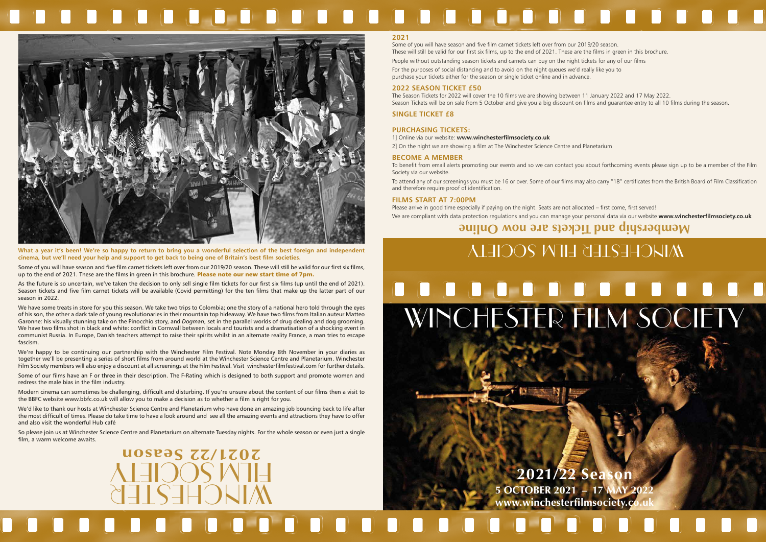# **STORY** . . . . . . . . . . . . . . WINCHESTER FILM SOCIETY

## **2021/22 Season 5 OCTOBER 2021 – 17 MAY 2022** www.winchesterfilmsociety.co



Some of you will have season and five film carnet tickets left over from our 2019/20 season. These will still be valid for our first six films, up to the end of 2021. These are the films in green in this brochure. Please note our new start time of 7pm.

# 



**What a year it's been! We're so happy to return to bring you a wonderful selection of the best foreign and independent cinema, but we'll need your help and support to get back to being one of Britain's best film societies.**

As the future is so uncertain, we've taken the decision to only sell single film tickets for our first six films (up until the end of 2021). Season tickets and five film carnet tickets will be available (Covid permitting) for the ten films that make up the latter part of our season in 2022.

We have some treats in store for you this season. We take two trips to Colombia; one the story of a national hero told through the eyes of his son, the other a dark tale of young revolutionaries in their mountain top hideaway. We have two films from Italian auteur Matteo Garonne: his visually stunning take on the Pinocchio story, and *Dogman*, set in the parallel worlds of drug dealing and dog grooming. We have two films shot in black and white: conflict in Cornwall between locals and tourists and a dramatisation of a shocking event in communist Russia. In Europe, Danish teachers attempt to raise their spirits whilst in an alternate reality France, a man tries to escape fascism.

We're happy to be continuing our partnership with the Winchester Film Festival. Note Monday 8th November in your diaries as together we'll be presenting a series of short films from around world at the Winchester Science Centre and Planetarium. Winchester Film Society members will also enjoy a discount at all screenings at the Film Festival. Visit winchesterfilmfestival.com for further details.

Some of our films have an F or three in their description. The F-Rating which is designed to both support and promote women and redress the male bias in the film industry.

Modern cinema can sometimes be challenging, difficult and disturbing. If you're unsure about the content of our films then a visit to the BBFC website www.bbfc.co.uk will allow you to make a decision as to whether a film is right for you.

We'd like to thank our hosts at Winchester Science Centre and Planetarium who have done an amazing job bouncing back to life after the most difficult of times. Please do take time to have a look around and see all the amazing events and attractions they have to offer and also visit the wonderful Hub café

So please join us at Winchester Science Centre and Planetarium on alternate Tuesday nights. For the whole season or even just a single film, a warm welcome awaits.

WINCHESTER

FILM SOCIETY

**2021/22 Season**

## **Membership and Tickets are now Online**

# WIKCHESTER FILM SOCIETY

## **2021**

Some of you will have season and five film carnet tickets left over from our 2019/20 season. These will still be valid for our first six films, up to the end of 2021. These are the films in green in this brochure. People without outstanding season tickets and carnets can buy on the night tickets for any of our films For the purposes of social distancing and to avoid on the night queues we'd really like you to purchase your tickets either for the season or single ticket online and in advance.

## **2022 SEASON TICKET £50**

The Season Tickets for 2022 will cover the 10 films we are showing between 11 January 2022 and 17 May 2022. Season Tickets will be on sale from 5 October and give you a big discount on films and guarantee entry to all 10 films during the season.

## **SINGLE TICKET £8**

## **PURCHASING TICKETS:**

1] Online via our website: **www.winchesterfilmsociety.co.uk**

2] On the night we are showing a film at The Winchester Science Centre and Planetarium

## **BECOME A MEMBER**

To benefit from email alerts promoting our events and so we can contact you about forthcoming events please sign up to be a member of the Film Society via our website.

To attend any of our screenings you must be 16 or over. Some of our films may also carry "18" certificates from the British Board of Film Classification and therefore require proof of identification.

## **FILMS START AT 7:00PM**

Please arrive in good time especially if paying on the night. Seats are not allocated – first come, first served! We are compliant with data protection regulations and you can manage your personal data via our website **www.winchesterfilmsociety.co.uk**